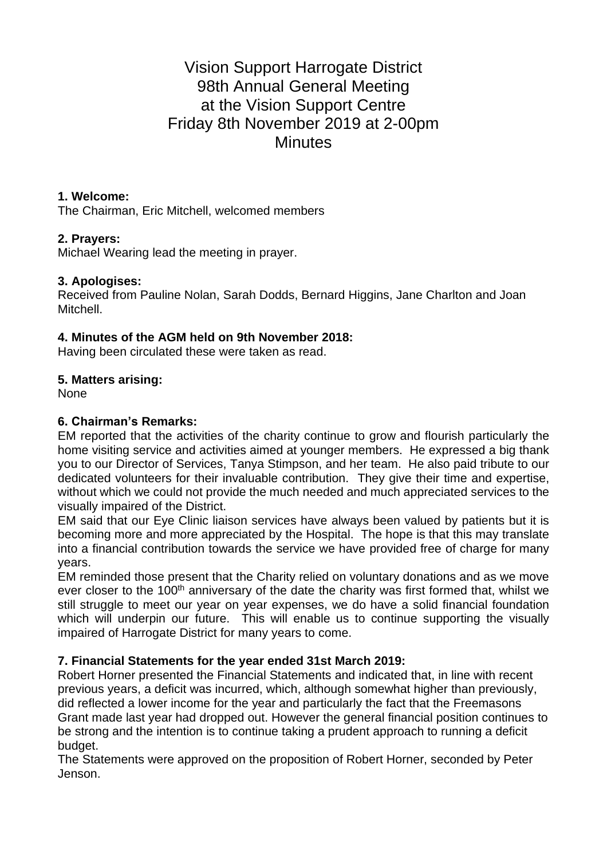# Vision Support Harrogate District 98th Annual General Meeting at the Vision Support Centre Friday 8th November 2019 at 2-00pm **Minutes**

#### **1. Welcome:**

The Chairman, Eric Mitchell, welcomed members

## **2. Prayers:**

Michael Wearing lead the meeting in prayer.

## **3. Apologises:**

Received from Pauline Nolan, Sarah Dodds, Bernard Higgins, Jane Charlton and Joan Mitchell.

## **4. Minutes of the AGM held on 9th November 2018:**

Having been circulated these were taken as read.

## **5. Matters arising:**

None

## **6. Chairman's Remarks:**

EM reported that the activities of the charity continue to grow and flourish particularly the home visiting service and activities aimed at younger members. He expressed a big thank you to our Director of Services, Tanya Stimpson, and her team. He also paid tribute to our dedicated volunteers for their invaluable contribution. They give their time and expertise, without which we could not provide the much needed and much appreciated services to the visually impaired of the District.

EM said that our Eye Clinic liaison services have always been valued by patients but it is becoming more and more appreciated by the Hospital. The hope is that this may translate into a financial contribution towards the service we have provided free of charge for many years.

EM reminded those present that the Charity relied on voluntary donations and as we move ever closer to the 100<sup>th</sup> anniversary of the date the charity was first formed that, whilst we still struggle to meet our year on year expenses, we do have a solid financial foundation which will underpin our future. This will enable us to continue supporting the visually impaired of Harrogate District for many years to come.

## **7. Financial Statements for the year ended 31st March 2019:**

Robert Horner presented the Financial Statements and indicated that, in line with recent previous years, a deficit was incurred, which, although somewhat higher than previously, did reflected a lower income for the year and particularly the fact that the Freemasons Grant made last year had dropped out. However the general financial position continues to be strong and the intention is to continue taking a prudent approach to running a deficit budget.

The Statements were approved on the proposition of Robert Horner, seconded by Peter Jenson.